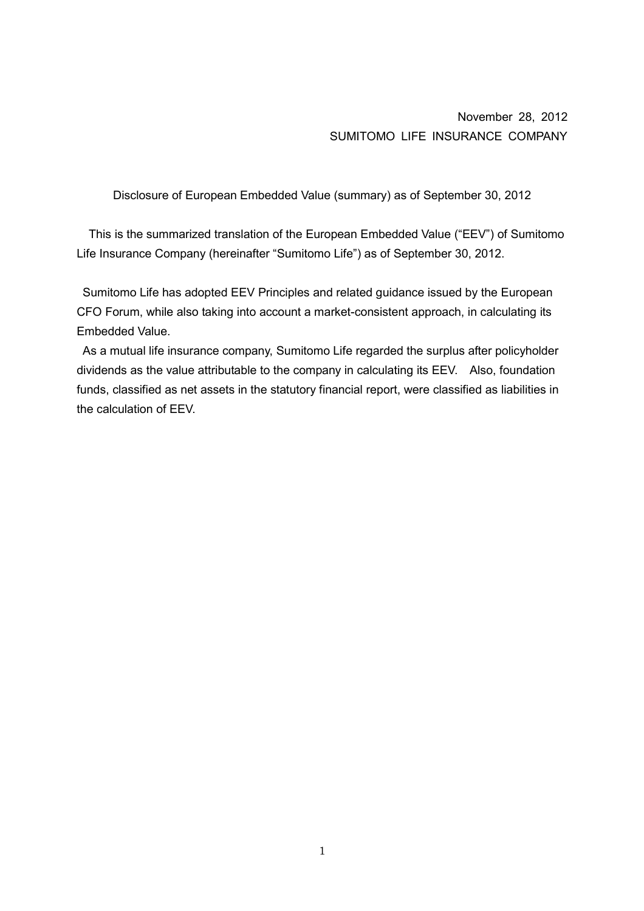November 28, 2012 SUMITOMO LIFE INSURANCE COMPANY

Disclosure of European Embedded Value (summary) as of September 30, 2012

This is the summarized translation of the European Embedded Value ("EEV") of Sumitomo Life Insurance Company (hereinafter "Sumitomo Life") as of September 30, 2012.

 Sumitomo Life has adopted EEV Principles and related guidance issued by the European CFO Forum, while also taking into account a market-consistent approach, in calculating its Embedded Value.

 As a mutual life insurance company, Sumitomo Life regarded the surplus after policyholder dividends as the value attributable to the company in calculating its EEV. Also, foundation funds, classified as net assets in the statutory financial report, were classified as liabilities in the calculation of EEV.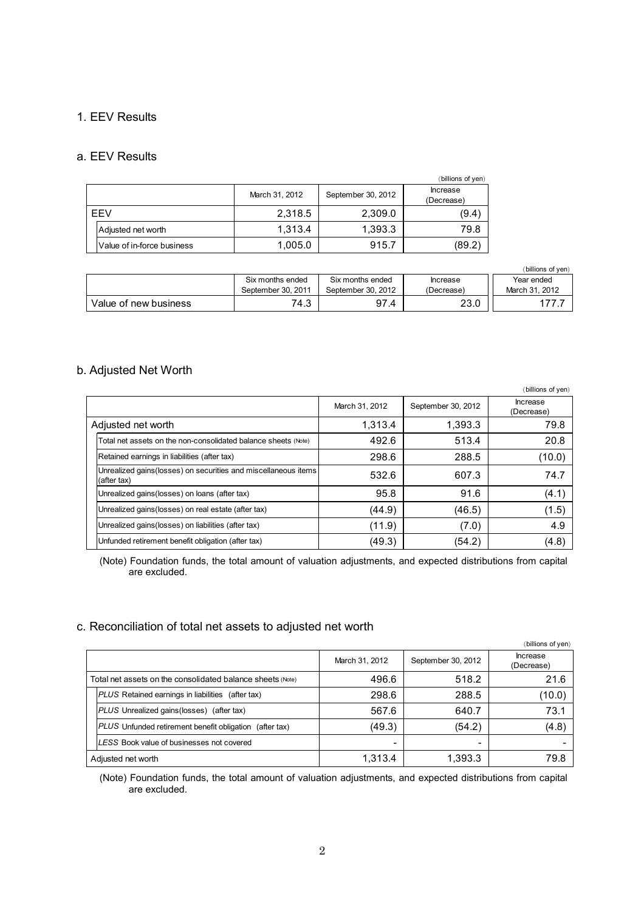# 1. EEV Results

### a. EEV Results

|            |                            |                |                    | (billions of yen)      |
|------------|----------------------------|----------------|--------------------|------------------------|
|            |                            | March 31, 2012 | September 30, 2012 | Increase<br>(Decrease) |
| <b>FFV</b> |                            | 2,318.5        | 2,309.0            | (9.4)                  |
|            | Adjusted net worth         | 1.313.4        | 1.393.3            | 79.8                   |
|            | Value of in-force business | 1,005.0        | 915.7              | (89.2)                 |

|                       |                    |                    |                 | (billions of ven) |
|-----------------------|--------------------|--------------------|-----------------|-------------------|
|                       | Six months ended   | Six months ended   | <b>Increase</b> | Year ended        |
|                       | September 30, 2011 | September 30, 2012 | (Decrease)      | March 31, 2012    |
| Value of new business | 74.3               | 97.4               | 23.0            |                   |

# b. Adjusted Net Worth

|                    |                                                                                |                |                    | (billions of yen)             |
|--------------------|--------------------------------------------------------------------------------|----------------|--------------------|-------------------------------|
|                    |                                                                                | March 31, 2012 | September 30, 2012 | <b>Increase</b><br>(Decrease) |
| Adjusted net worth |                                                                                | 1.313.4        | 1,393.3            | 79.8                          |
|                    | Total net assets on the non-consolidated balance sheets (Note)                 | 492.6          | 513.4              | 20.8                          |
|                    | Retained earnings in liabilities (after tax)                                   | 298.6          | 288.5              | (10.0)                        |
|                    | Unrealized gains (losses) on securities and miscellaneous items<br>(after tax) | 532.6          | 607.3              | 74.7                          |
|                    | Unrealized gains (losses) on loans (after tax)                                 | 95.8           | 91.6               | (4.1)                         |
|                    | Unrealized gains (losses) on real estate (after tax)                           | (44.9)         | (46.5)             | (1.5)                         |
|                    | Unrealized gains (losses) on liabilities (after tax)                           | (11.9)         | (7.0)              | 4.9                           |
|                    | Unfunded retirement benefit obligation (after tax)                             | (49.3)         | (54.2)             | (4.8)                         |

(Note) Foundation funds, the total amount of valuation adjustments, and expected distributions from capital are excluded.

#### c. Reconciliation of total net assets to adjusted net worth

|                                                            |                |                    | (billions of yen)      |
|------------------------------------------------------------|----------------|--------------------|------------------------|
|                                                            | March 31, 2012 | September 30, 2012 | Increase<br>(Decrease) |
| Total net assets on the consolidated balance sheets (Note) | 496.6          | 518.2              | 21.6                   |
| <b>PLUS</b> Retained earnings in liabilities (after tax)   | 298.6          | 288.5              | (10.0)                 |
| <b>PLUS</b> Unrealized gains (losses) (after tax)          | 567.6          | 640.7              | 73.1                   |
| PLUS Unfunded retirement benefit obligation<br>(after tax) | (49.3)         | (54.2)             | (4.8)                  |
| LESS Book value of businesses not covered                  | -              | -                  |                        |
| Adjusted net worth                                         | 1.313.4        | 1.393.3            | 79.8                   |

(Note) Foundation funds, the total amount of valuation adjustments, and expected distributions from capital are excluded.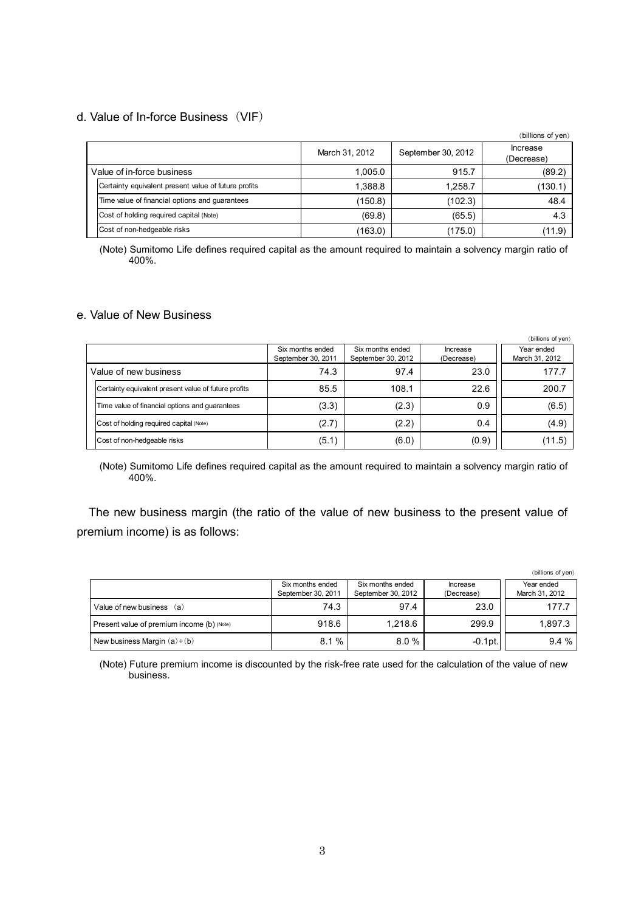# d. Value of In-force Business(VIF)

|                            |                                                      |                |                    | (billions of yen)             |
|----------------------------|------------------------------------------------------|----------------|--------------------|-------------------------------|
|                            |                                                      | March 31, 2012 | September 30, 2012 | <b>Increase</b><br>(Decrease) |
| Value of in-force business |                                                      | 1,005.0        | 915.7              | (89.2)                        |
|                            | Certainty equivalent present value of future profits | 1,388.8        | 1.258.7            | (130.1)                       |
|                            | Time value of financial options and quarantees       | (150.8)        | (102.3)            | 48.4                          |
|                            | Cost of holding required capital (Note)              | (69.8)         | (65.5)             | 4.3                           |
|                            | Cost of non-hedgeable risks                          | (163.0)        | (175.0)            | (11.9)                        |

(Note) Sumitomo Life defines required capital as the amount required to maintain a solvency margin ratio of 400%.

# e. Value of New Business

|                                                      |                                        |                                        |                        | (billions of yen)            |
|------------------------------------------------------|----------------------------------------|----------------------------------------|------------------------|------------------------------|
|                                                      | Six months ended<br>September 30, 2011 | Six months ended<br>September 30, 2012 | Increase<br>(Decrease) | Year ended<br>March 31, 2012 |
| Value of new business                                | 74.3                                   | 97.4                                   | 23.0                   | 177.7                        |
| Certainty equivalent present value of future profits | 85.5                                   | 108.1                                  | 22.6                   | 200.7                        |
| Time value of financial options and guarantees       | (3.3)                                  | (2.3)                                  | 0.9                    | (6.5)                        |
| Cost of holding required capital (Note)              | (2.7)                                  | (2.2)                                  | 0.4                    | (4.9)                        |
| Cost of non-hedgeable risks                          | (5.1)                                  | (6.0)                                  | (0.9)                  | (11.5)                       |

(Note) Sumitomo Life defines required capital as the amount required to maintain a solvency margin ratio of 400%.

The new business margin (the ratio of the value of new business to the present value of premium income) is as follows:

|                                            |                                        |                                        |                        | (billions of yen)            |
|--------------------------------------------|----------------------------------------|----------------------------------------|------------------------|------------------------------|
|                                            | Six months ended<br>September 30, 2011 | Six months ended<br>September 30, 2012 | Increase<br>(Decrease) | Year ended<br>March 31, 2012 |
| Value of new business (a)                  | 74.3                                   | 97.4                                   | 23.0                   | 177.7                        |
| Present value of premium income (b) (Note) | 918.6                                  | 1.218.6                                | 299.9                  | 1,897.3                      |
| New business Margin $(a) \div (b)$         | %<br>8.1                               | 8.0%                                   | $-0.1$ pt.             | 9.4%                         |

(Note) Future premium income is discounted by the risk-free rate used for the calculation of the value of new business.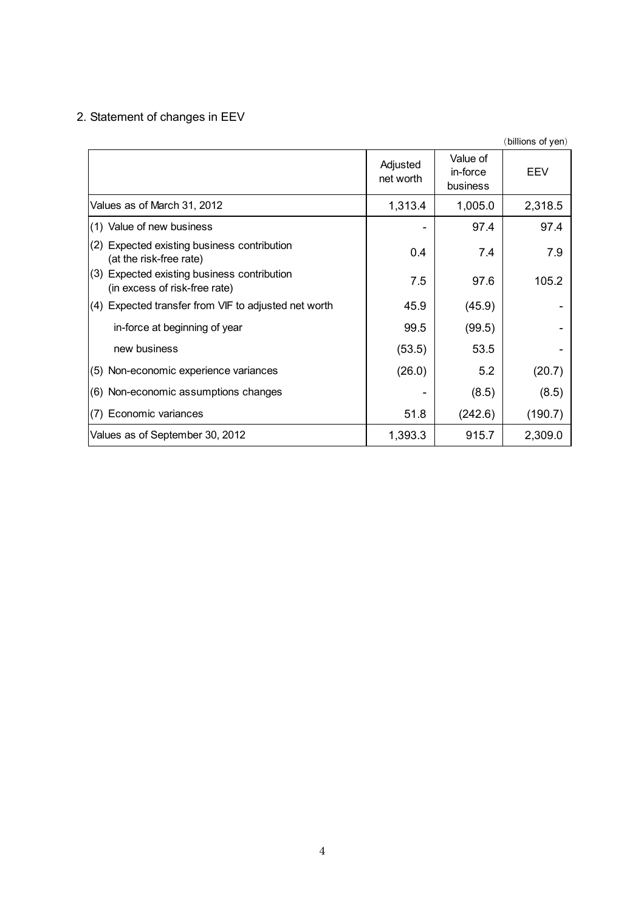# 2. Statement of changes in EEV

|                                                                              |                       |                                  | (billions of yen) |
|------------------------------------------------------------------------------|-----------------------|----------------------------------|-------------------|
|                                                                              | Adjusted<br>net worth | Value of<br>in-force<br>business | EEV               |
| Values as of March 31, 2012                                                  | 1,313.4               | 1,005.0                          | 2,318.5           |
| (1) Value of new business                                                    |                       | 97.4                             | 97.4              |
| (2)<br>Expected existing business contribution<br>(at the risk-free rate)    | 0.4                   | 7.4                              | 7.9               |
| (3) Expected existing business contribution<br>(in excess of risk-free rate) | 7.5                   | 97.6                             | 105.2             |
| (4) Expected transfer from VIF to adjusted net worth                         | 45.9                  | (45.9)                           |                   |
| in-force at beginning of year                                                | 99.5                  | (99.5)                           |                   |
| new business                                                                 | (53.5)                | 53.5                             |                   |
| (5) Non-economic experience variances                                        | (26.0)                | 5.2                              | (20.7)            |
| (6) Non-economic assumptions changes                                         |                       | (8.5)                            | (8.5)             |
| Economic variances<br>(7)                                                    | 51.8                  | (242.6)                          | (190.7)           |
| Values as of September 30, 2012                                              | 1,393.3               | 915.7                            | 2,309.0           |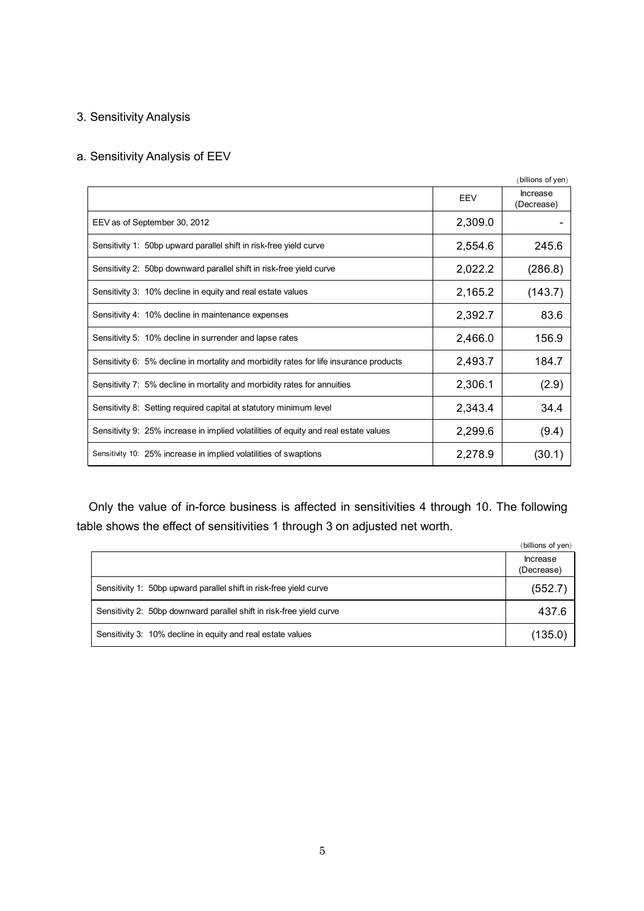# 3. Sensitivity Analysis

# a. Sensitivity Analysis of EEV

|                                                                                        |         | (billions of yen)      |
|----------------------------------------------------------------------------------------|---------|------------------------|
|                                                                                        | EEV     | Increase<br>(Decrease) |
| EEV as of September 30, 2012                                                           | 2,309.0 |                        |
| Sensitivity 1: 50bp upward parallel shift in risk-free yield curve                     | 2,554.6 | 245.6                  |
| Sensitivity 2: 50bp downward parallel shift in risk-free yield curve                   | 2,022.2 | (286.8)                |
| Sensitivity 3: 10% decline in equity and real estate values                            | 2,165.2 | (143.7)                |
| Sensitivity 4: 10% decline in maintenance expenses                                     | 2,392.7 | 83.6                   |
| Sensitivity 5: 10% decline in surrender and lapse rates                                | 2,466.0 | 156.9                  |
| Sensitivity 6: 5% decline in mortality and morbidity rates for life insurance products | 2,493.7 | 184.7                  |
| Sensitivity 7: 5% decline in mortality and morbidity rates for annuities               | 2,306.1 | (2.9)                  |
| Sensitivity 8: Setting required capital at statutory minimum level                     | 2,343.4 | 34.4                   |
| Sensitivity 9: 25% increase in implied volatilities of equity and real estate values   | 2,299.6 | (9.4)                  |
| Sensitivity 10: 25% increase in implied volatilities of swaptions                      | 2,278.9 | (30.1)                 |

Only the value of in-force business is affected in sensitivities 4 through 10. The following table shows the effect of sensitivities 1 through 3 on adjusted net worth.

|                                                                      | (billions of yen)             |
|----------------------------------------------------------------------|-------------------------------|
|                                                                      | <b>Increase</b><br>(Decrease) |
| Sensitivity 1: 50bp upward parallel shift in risk-free yield curve   | (552.7)                       |
| Sensitivity 2: 50bp downward parallel shift in risk-free yield curve | 437.6                         |
| Sensitivity 3: 10% decline in equity and real estate values          | (135.0)                       |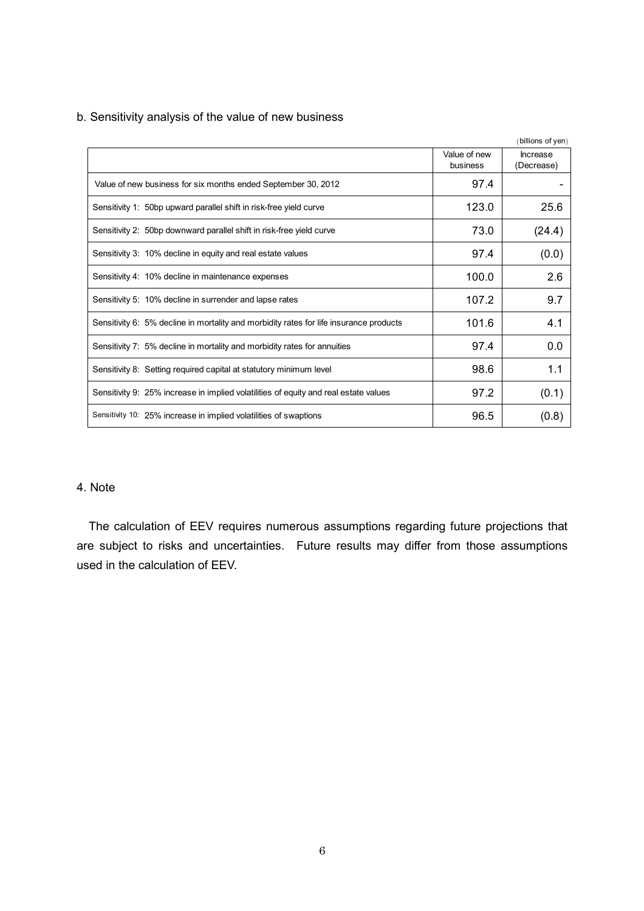|                                                                                        |                          | (billions of yen)      |
|----------------------------------------------------------------------------------------|--------------------------|------------------------|
|                                                                                        | Value of new<br>business | Increase<br>(Decrease) |
| Value of new business for six months ended September 30, 2012                          | 97.4                     |                        |
| Sensitivity 1: 50bp upward parallel shift in risk-free yield curve                     | 123.0                    | 25.6                   |
| Sensitivity 2: 50bp downward parallel shift in risk-free yield curve                   | 73.0                     | (24.4)                 |
| Sensitivity 3: 10% decline in equity and real estate values                            | 97.4                     | (0.0)                  |
| Sensitivity 4: 10% decline in maintenance expenses                                     | 100.0                    | 2.6                    |
| Sensitivity 5: 10% decline in surrender and lapse rates                                | 107.2                    | 9.7                    |
| Sensitivity 6: 5% decline in mortality and morbidity rates for life insurance products | 101.6                    | 4.1                    |
| Sensitivity 7: 5% decline in mortality and morbidity rates for annuities               | 97.4                     | 0.0                    |
| Sensitivity 8: Setting required capital at statutory minimum level                     | 98.6                     | 1.1                    |
| Sensitivity 9: 25% increase in implied volatilities of equity and real estate values   | 97.2                     | (0.1)                  |
| Sensitivity 10: 25% increase in implied volatilities of swaptions                      | 96.5                     | (0.8)                  |

b. Sensitivity analysis of the value of new business

### 4. Note

The calculation of EEV requires numerous assumptions regarding future projections that are subject to risks and uncertainties. Future results may differ from those assumptions used in the calculation of EEV.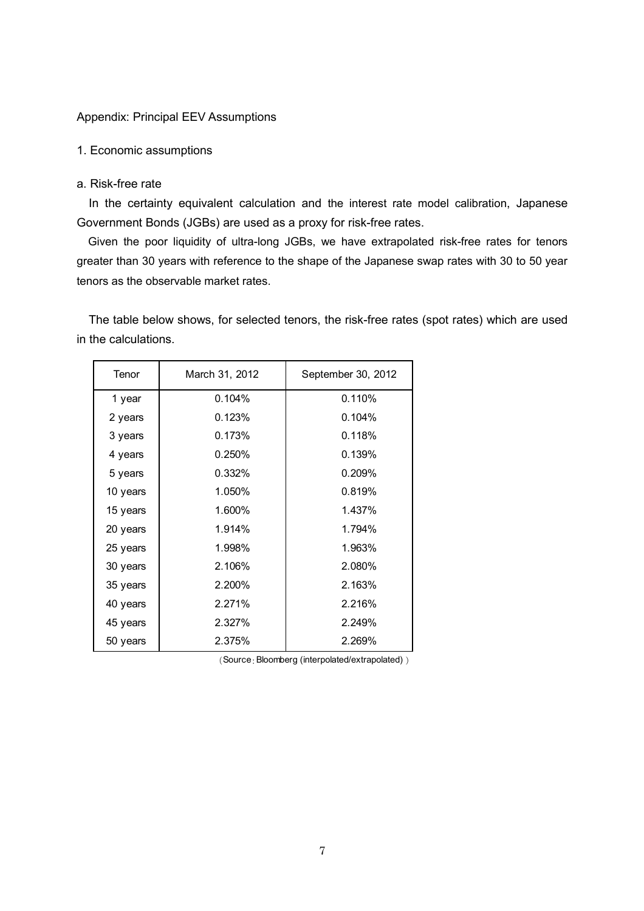### Appendix: Principal EEV Assumptions

#### 1. Economic assumptions

#### a. Risk-free rate

In the certainty equivalent calculation and the interest rate model calibration, Japanese Government Bonds (JGBs) are used as a proxy for risk-free rates.

Given the poor liquidity of ultra-long JGBs, we have extrapolated risk-free rates for tenors greater than 30 years with reference to the shape of the Japanese swap rates with 30 to 50 year tenors as the observable market rates.

The table below shows, for selected tenors, the risk-free rates (spot rates) which are used in the calculations.

| Tenor    | March 31, 2012 | September 30, 2012 |
|----------|----------------|--------------------|
| 1 year   | 0.104%         | 0.110%             |
| 2 years  | 0.123%         | 0.104%             |
| 3 years  | 0.173%         | 0.118%             |
| 4 years  | 0.250%         | 0.139%             |
| 5 years  | 0.332%         | 0.209%             |
| 10 years | 1.050%         | 0.819%             |
| 15 years | 1.600%         | 1.437%             |
| 20 years | 1.914%         | 1.794%             |
| 25 years | 1.998%         | 1.963%             |
| 30 years | 2.106%         | 2.080%             |
| 35 years | 2.200%         | 2.163%             |
| 40 years | 2.271%         | 2.216%             |
| 45 years | 2.327%         | 2.249%             |
| 50 years | 2.375%         | 2.269%             |

(Source:Bloomberg (interpolated/extrapolated) )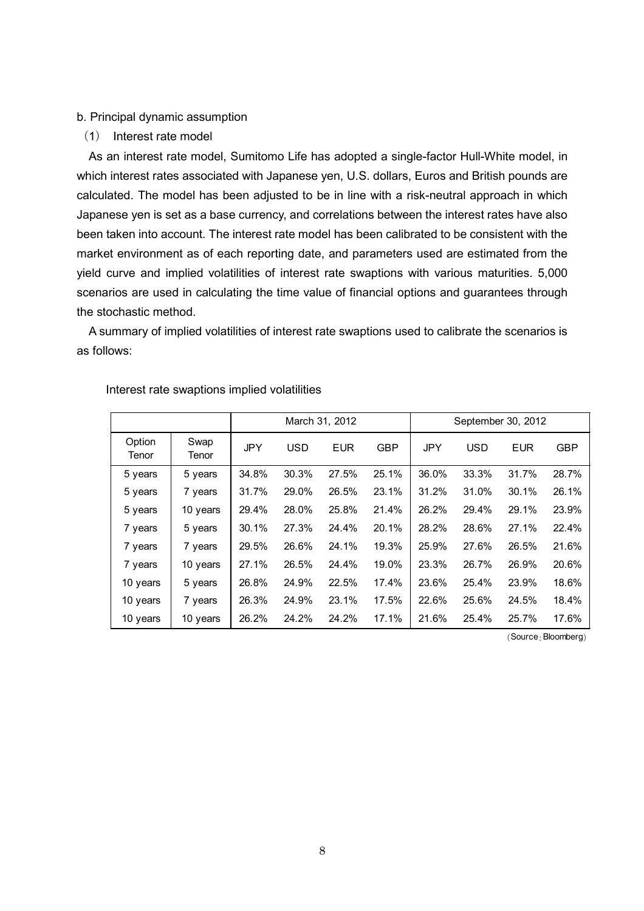#### b. Principal dynamic assumption

(1) Interest rate model

As an interest rate model, Sumitomo Life has adopted a single-factor Hull-White model, in which interest rates associated with Japanese yen, U.S. dollars, Euros and British pounds are calculated. The model has been adjusted to be in line with a risk-neutral approach in which Japanese yen is set as a base currency, and correlations between the interest rates have also been taken into account. The interest rate model has been calibrated to be consistent with the market environment as of each reporting date, and parameters used are estimated from the yield curve and implied volatilities of interest rate swaptions with various maturities. 5,000 scenarios are used in calculating the time value of financial options and guarantees through the stochastic method.

A summary of implied volatilities of interest rate swaptions used to calibrate the scenarios is as follows:

|                 |               |       |            | March 31, 2012 |            | September 30, 2012 |            |            |            |  |
|-----------------|---------------|-------|------------|----------------|------------|--------------------|------------|------------|------------|--|
| Option<br>Tenor | Swap<br>Tenor | JPY   | <b>USD</b> | <b>EUR</b>     | <b>GBP</b> | <b>JPY</b>         | <b>USD</b> | <b>EUR</b> | <b>GBP</b> |  |
| 5 years         | 5 years       | 34.8% | 30.3%      | 27.5%          | 25.1%      | 36.0%              | 33.3%      | 31.7%      | 28.7%      |  |
| 5 years         | 7 years       | 31.7% | 29.0%      | 26.5%          | 23.1%      | 31.2%              | 31.0%      | 30.1%      | 26.1%      |  |
| 5 years         | 10 years      | 29.4% | 28.0%      | 25.8%          | 21.4%      | 26.2%              | 29.4%      | 29.1%      | 23.9%      |  |
| 7 years         | 5 years       | 30.1% | 27.3%      | 24.4%          | 20.1%      | 28.2%              | 28.6%      | 27.1%      | 22.4%      |  |
| 7 years         | 7 years       | 29.5% | 26.6%      | 24.1%          | 19.3%      | 25.9%              | 27.6%      | 26.5%      | 21.6%      |  |
| 7 years         | 10 years      | 27.1% | 26.5%      | 24.4%          | 19.0%      | 23.3%              | 26.7%      | 26.9%      | 20.6%      |  |
| 10 years        | 5 years       | 26.8% | 24.9%      | 22.5%          | 17.4%      | 23.6%              | 25.4%      | 23.9%      | 18.6%      |  |
| 10 years        | 7 years       | 26.3% | 24.9%      | 23.1%          | 17.5%      | 22.6%              | 25.6%      | 24.5%      | 18.4%      |  |
| 10 years        | 10 years      | 26.2% | 24.2%      | 24.2%          | 17.1%      | 21.6%              | 25.4%      | 25.7%      | 17.6%      |  |

Interest rate swaptions implied volatilities

(Source:Bloomberg)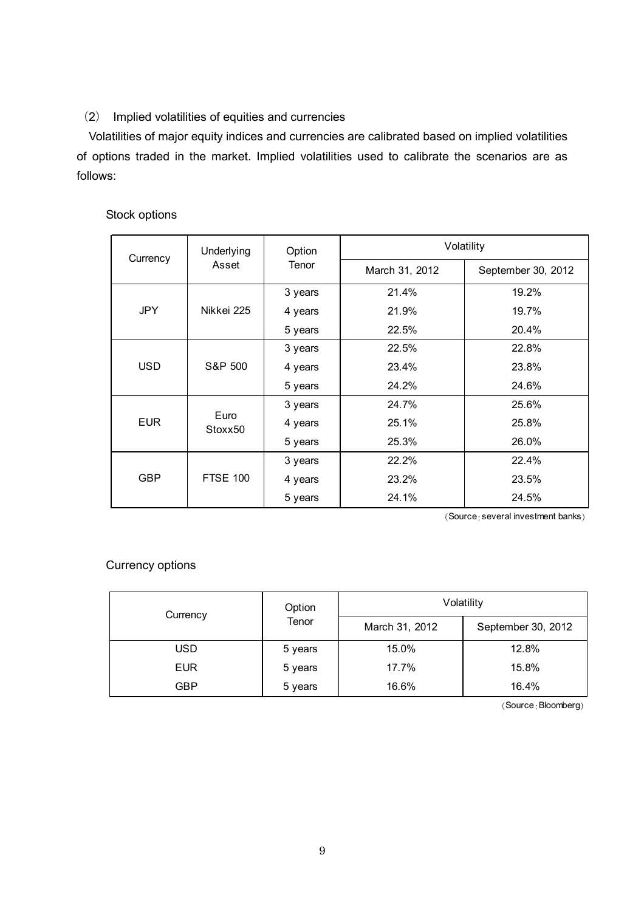# (2) Implied volatilities of equities and currencies

Volatilities of major equity indices and currencies are calibrated based on implied volatilities of options traded in the market. Implied volatilities used to calibrate the scenarios are as follows:

# Stock options

| Currency   | Underlying                  | Option  | Volatility     |                    |  |  |
|------------|-----------------------------|---------|----------------|--------------------|--|--|
|            | Asset                       | Tenor   | March 31, 2012 | September 30, 2012 |  |  |
|            |                             | 3 years | 21.4%          | 19.2%              |  |  |
| <b>JPY</b> | Nikkei 225                  | 4 years | 21.9%          | 19.7%              |  |  |
|            |                             | 5 years | 22.5%          | 20.4%              |  |  |
| <b>USD</b> |                             | 3 years | 22.5%          | 22.8%              |  |  |
|            | S&P 500                     | 4 years | 23.4%          | 23.8%              |  |  |
|            |                             | 5 years | 24.2%          | 24.6%              |  |  |
| <b>EUR</b> |                             | 3 years | 24.7%          | 25.6%              |  |  |
|            | Euro<br>Stoxx <sub>50</sub> | 4 years | 25.1%          | 25.8%              |  |  |
|            |                             | 5 years | 25.3%          | 26.0%              |  |  |
| <b>GBP</b> |                             | 3 years | 22.2%          | 22.4%              |  |  |
|            | <b>FTSE 100</b>             | 4 years | 23.2%          | 23.5%              |  |  |
|            |                             | 5 years | 24.1%          | 24.5%              |  |  |

(Source:several investment banks)

# Currency options

| Currency   | Option  | Volatility     |                    |  |  |
|------------|---------|----------------|--------------------|--|--|
|            | Tenor   | March 31, 2012 | September 30, 2012 |  |  |
| USD        | 5 years | 15.0%          | 12.8%              |  |  |
| <b>EUR</b> | 5 years | 17.7%          | 15.8%              |  |  |
| GBP        | 5 years | 16.6%          | 16.4%              |  |  |

(Source:Bloomberg)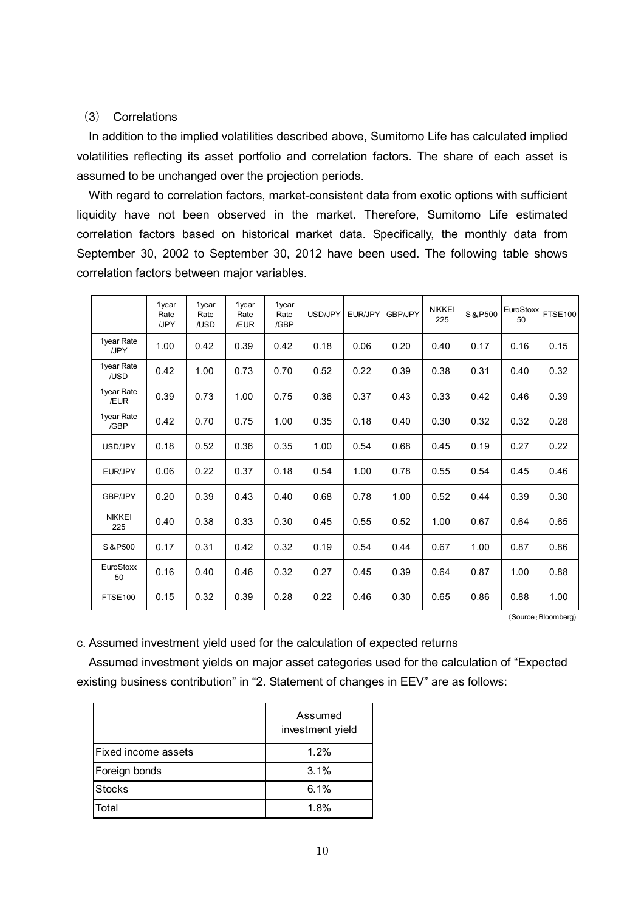### (3) Correlations

In addition to the implied volatilities described above, Sumitomo Life has calculated implied volatilities reflecting its asset portfolio and correlation factors. The share of each asset is assumed to be unchanged over the projection periods.

With regard to correlation factors, market-consistent data from exotic options with sufficient liquidity have not been observed in the market. Therefore, Sumitomo Life estimated correlation factors based on historical market data. Specifically, the monthly data from September 30, 2002 to September 30, 2012 have been used. The following table shows correlation factors between major variables.

|                      | 1year<br>Rate<br>/JPY | 1year<br>Rate<br>/USD | 1year<br>Rate<br>/EUR | 1year<br>Rate<br>/GBP | USD/JPY | EUR/JPY | GBP/JPY | <b>NIKKEI</b><br>225 | S&P500 | EuroStoxx<br>50 | <b>FTSE100</b> |
|----------------------|-----------------------|-----------------------|-----------------------|-----------------------|---------|---------|---------|----------------------|--------|-----------------|----------------|
| 1year Rate<br>/JPY   | 1.00                  | 0.42                  | 0.39                  | 0.42                  | 0.18    | 0.06    | 0.20    | 0.40                 | 0.17   | 0.16            | 0.15           |
| 1year Rate<br>/USD   | 0.42                  | 1.00                  | 0.73                  | 0.70                  | 0.52    | 0.22    | 0.39    | 0.38                 | 0.31   | 0.40            | 0.32           |
| 1year Rate<br>/EUR   | 0.39                  | 0.73                  | 1.00                  | 0.75                  | 0.36    | 0.37    | 0.43    | 0.33                 | 0.42   | 0.46            | 0.39           |
| 1year Rate<br>/GBP   | 0.42                  | 0.70                  | 0.75                  | 1.00                  | 0.35    | 0.18    | 0.40    | 0.30                 | 0.32   | 0.32            | 0.28           |
| USD/JPY              | 0.18                  | 0.52                  | 0.36                  | 0.35                  | 1.00    | 0.54    | 0.68    | 0.45                 | 0.19   | 0.27            | 0.22           |
| EUR/JPY              | 0.06                  | 0.22                  | 0.37                  | 0.18                  | 0.54    | 1.00    | 0.78    | 0.55                 | 0.54   | 0.45            | 0.46           |
| <b>GBP/JPY</b>       | 0.20                  | 0.39                  | 0.43                  | 0.40                  | 0.68    | 0.78    | 1.00    | 0.52                 | 0.44   | 0.39            | 0.30           |
| <b>NIKKEI</b><br>225 | 0.40                  | 0.38                  | 0.33                  | 0.30                  | 0.45    | 0.55    | 0.52    | 1.00                 | 0.67   | 0.64            | 0.65           |
| S & P500             | 0.17                  | 0.31                  | 0.42                  | 0.32                  | 0.19    | 0.54    | 0.44    | 0.67                 | 1.00   | 0.87            | 0.86           |
| EuroStoxx<br>50      | 0.16                  | 0.40                  | 0.46                  | 0.32                  | 0.27    | 0.45    | 0.39    | 0.64                 | 0.87   | 1.00            | 0.88           |
| <b>FTSE100</b>       | 0.15                  | 0.32                  | 0.39                  | 0.28                  | 0.22    | 0.46    | 0.30    | 0.65                 | 0.86   | 0.88            | 1.00           |

(Source:Bloomberg)

c. Assumed investment yield used for the calculation of expected returns

Assumed investment yields on major asset categories used for the calculation of "Expected existing business contribution" in "2. Statement of changes in EEV" are as follows:

|                            | Assumed<br>investment yield |  |  |  |
|----------------------------|-----------------------------|--|--|--|
| <b>Fixed income assets</b> | 1.2%                        |  |  |  |
| Foreign bonds              | 3.1%                        |  |  |  |
| <b>Stocks</b>              | 6.1%                        |  |  |  |
| Total                      | 1.8%                        |  |  |  |